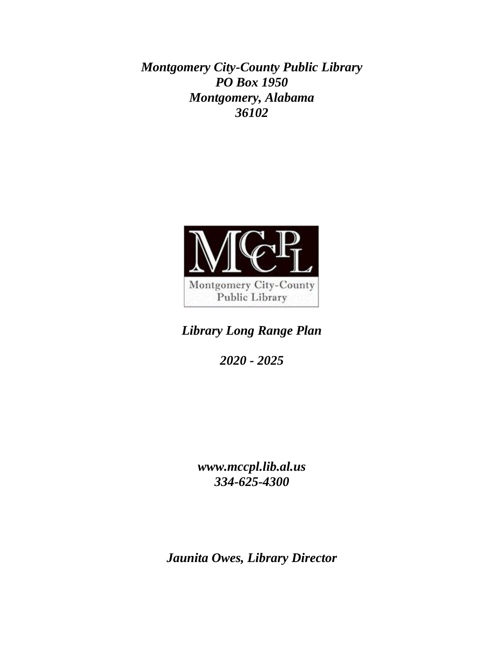*Montgomery City-County Public Library PO Box 1950 Montgomery, Alabama 36102*



*Library Long Range Plan*

*2020 - 2025*

*www.mccpl.lib.al.us 334-625-4300*

*Jaunita Owes, Library Director*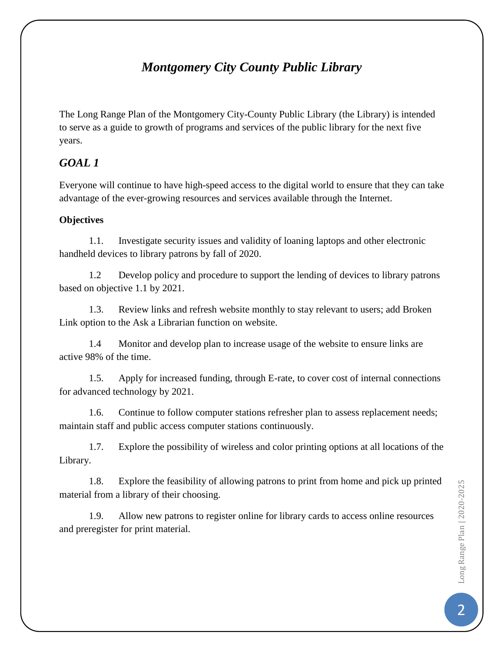# *Montgomery City County Public Library*

The Long Range Plan of the Montgomery City-County Public Library (the Library) is intended to serve as a guide to growth of programs and services of the public library for the next five years.

### *GOAL 1*

Everyone will continue to have high-speed access to the digital world to ensure that they can take advantage of the ever-growing resources and services available through the Internet.

#### **Objectives**

1.1. Investigate security issues and validity of loaning laptops and other electronic handheld devices to library patrons by fall of 2020.

1.2 Develop policy and procedure to support the lending of devices to library patrons based on objective 1.1 by 2021.

1.3. Review links and refresh website monthly to stay relevant to users; add Broken Link option to the Ask a Librarian function on website.

1.4 Monitor and develop plan to increase usage of the website to ensure links are active 98% of the time.

1.5. Apply for increased funding, through E-rate, to cover cost of internal connections for advanced technology by 2021.

1.6. Continue to follow computer stations refresher plan to assess replacement needs; maintain staff and public access computer stations continuously.

1.7. Explore the possibility of wireless and color printing options at all locations of the Library.

1.8. Explore the feasibility of allowing patrons to print from home and pick up printed material from a library of their choosing.

1.9. Allow new patrons to register online for library cards to access online resources and preregister for print material.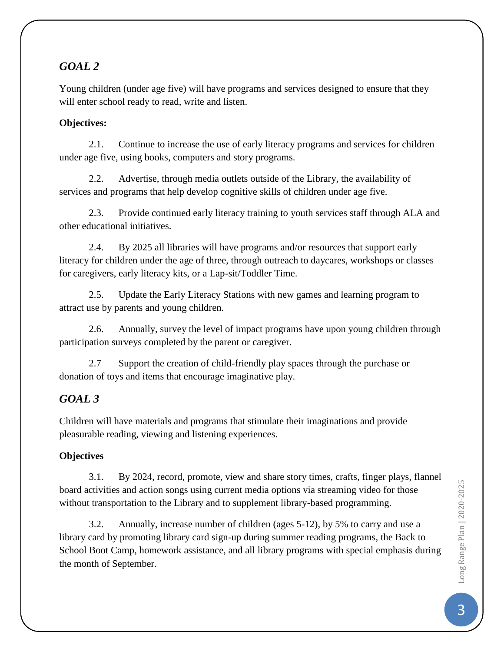## *GOAL 2*

Young children (under age five) will have programs and services designed to ensure that they will enter school ready to read, write and listen.

#### **Objectives:**

2.1. Continue to increase the use of early literacy programs and services for children under age five, using books, computers and story programs.

2.2. Advertise, through media outlets outside of the Library, the availability of services and programs that help develop cognitive skills of children under age five.

2.3. Provide continued early literacy training to youth services staff through ALA and other educational initiatives.

2.4. By 2025 all libraries will have programs and/or resources that support early literacy for children under the age of three, through outreach to daycares, workshops or classes for caregivers, early literacy kits, or a Lap-sit/Toddler Time.

2.5. Update the Early Literacy Stations with new games and learning program to attract use by parents and young children.

2.6. Annually, survey the level of impact programs have upon young children through participation surveys completed by the parent or caregiver.

2.7 Support the creation of child-friendly play spaces through the purchase or donation of toys and items that encourage imaginative play.

## *GOAL 3*

Children will have materials and programs that stimulate their imaginations and provide pleasurable reading, viewing and listening experiences.

### **Objectives**

3.1. By 2024, record, promote, view and share story times, crafts, finger plays, flannel board activities and action songs using current media options via streaming video for those without transportation to the Library and to supplement library-based programming.

3.2. Annually, increase number of children (ages 5-12), by 5% to carry and use a library card by promoting library card sign-up during summer reading programs, the Back to School Boot Camp, homework assistance, and all library programs with special emphasis during the month of September.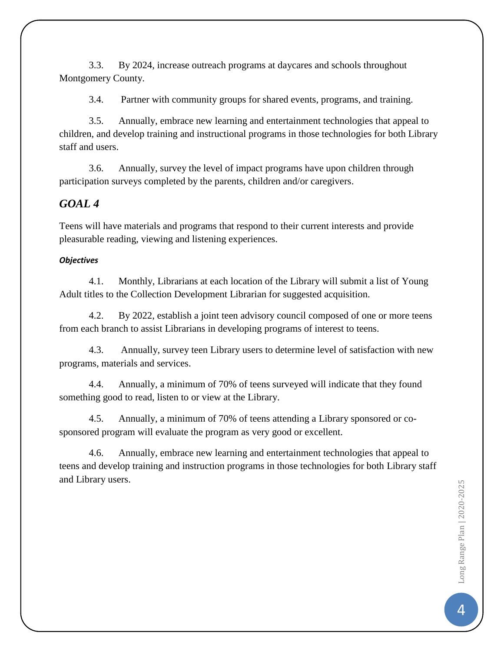3.3. By 2024, increase outreach programs at daycares and schools throughout Montgomery County.

3.4. Partner with community groups for shared events, programs, and training.

3.5. Annually, embrace new learning and entertainment technologies that appeal to children, and develop training and instructional programs in those technologies for both Library staff and users.

3.6. Annually, survey the level of impact programs have upon children through participation surveys completed by the parents, children and/or caregivers.

### *GOAL 4*

Teens will have materials and programs that respond to their current interests and provide pleasurable reading, viewing and listening experiences.

#### *Objectives*

4.1. Monthly, Librarians at each location of the Library will submit a list of Young Adult titles to the Collection Development Librarian for suggested acquisition.

4.2. By 2022, establish a joint teen advisory council composed of one or more teens from each branch to assist Librarians in developing programs of interest to teens.

4.3. Annually, survey teen Library users to determine level of satisfaction with new programs, materials and services.

4.4. Annually, a minimum of 70% of teens surveyed will indicate that they found something good to read, listen to or view at the Library.

4.5. Annually, a minimum of 70% of teens attending a Library sponsored or cosponsored program will evaluate the program as very good or excellent.

4.6. Annually, embrace new learning and entertainment technologies that appeal to teens and develop training and instruction programs in those technologies for both Library staff and Library users.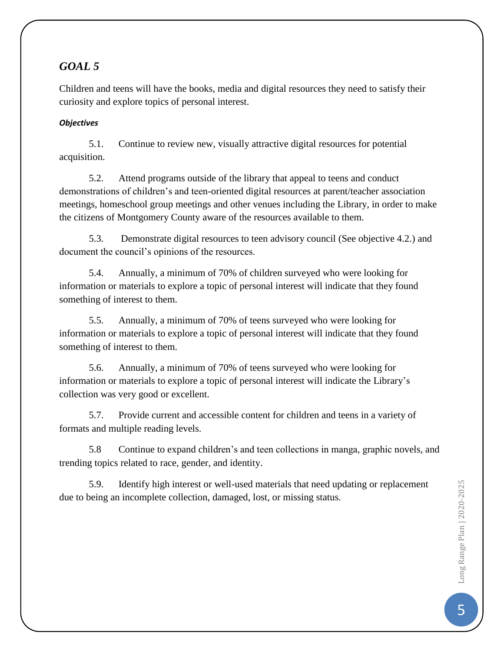## *GOAL 5*

Children and teens will have the books, media and digital resources they need to satisfy their curiosity and explore topics of personal interest.

#### *Objectives*

5.1. Continue to review new, visually attractive digital resources for potential acquisition.

5.2. Attend programs outside of the library that appeal to teens and conduct demonstrations of children's and teen-oriented digital resources at parent/teacher association meetings, homeschool group meetings and other venues including the Library, in order to make the citizens of Montgomery County aware of the resources available to them.

5.3. Demonstrate digital resources to teen advisory council (See objective 4.2.) and document the council's opinions of the resources.

5.4. Annually, a minimum of 70% of children surveyed who were looking for information or materials to explore a topic of personal interest will indicate that they found something of interest to them.

5.5. Annually, a minimum of 70% of teens surveyed who were looking for information or materials to explore a topic of personal interest will indicate that they found something of interest to them.

5.6. Annually, a minimum of 70% of teens surveyed who were looking for information or materials to explore a topic of personal interest will indicate the Library's collection was very good or excellent.

5.7. Provide current and accessible content for children and teens in a variety of formats and multiple reading levels.

5.8 Continue to expand children's and teen collections in manga, graphic novels, and trending topics related to race, gender, and identity.

5.9. Identify high interest or well-used materials that need updating or replacement due to being an incomplete collection, damaged, lost, or missing status.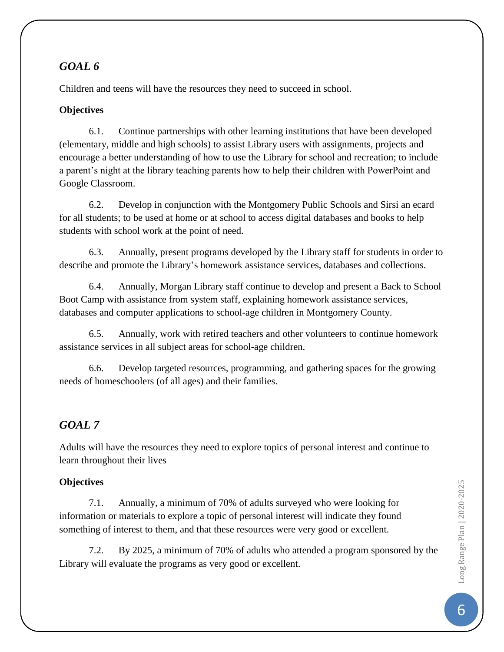## *GOAL 6*

Children and teens will have the resources they need to succeed in school.

### **Objectives**

6.1. Continue partnerships with other learning institutions that have been developed (elementary, middle and high schools) to assist Library users with assignments, projects and encourage a better understanding of how to use the Library for school and recreation; to include a parent's night at the library teaching parents how to help their children with PowerPoint and Google Classroom.

6.2. Develop in conjunction with the Montgomery Public Schools and Sirsi an ecard for all students; to be used at home or at school to access digital databases and books to help students with school work at the point of need.

6.3. Annually, present programs developed by the Library staff for students in order to describe and promote the Library's homework assistance services, databases and collections.

6.4. Annually, Morgan Library staff continue to develop and present a Back to School Boot Camp with assistance from system staff, explaining homework assistance services, databases and computer applications to school-age children in Montgomery County.

6.5. Annually, work with retired teachers and other volunteers to continue homework assistance services in all subject areas for school-age children.

6.6. Develop targeted resources, programming, and gathering spaces for the growing needs of homeschoolers (of all ages) and their families.

# *GOAL 7*

Adults will have the resources they need to explore topics of personal interest and continue to learn throughout their lives

### **Objectives**

7.1. Annually, a minimum of 70% of adults surveyed who were looking for information or materials to explore a topic of personal interest will indicate they found something of interest to them, and that these resources were very good or excellent.

7.2. By 2025, a minimum of 70% of adults who attended a program sponsored by the Library will evaluate the programs as very good or excellent.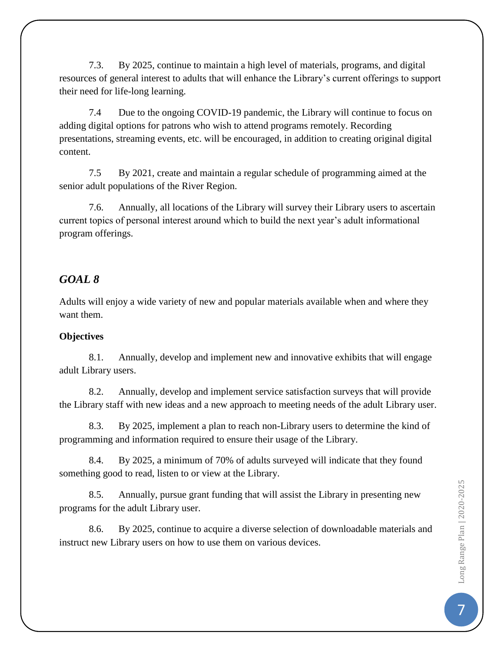7.3. By 2025, continue to maintain a high level of materials, programs, and digital resources of general interest to adults that will enhance the Library's current offerings to support their need for life-long learning.

7.4 Due to the ongoing COVID-19 pandemic, the Library will continue to focus on adding digital options for patrons who wish to attend programs remotely. Recording presentations, streaming events, etc. will be encouraged, in addition to creating original digital content.

7.5 By 2021, create and maintain a regular schedule of programming aimed at the senior adult populations of the River Region.

7.6. Annually, all locations of the Library will survey their Library users to ascertain current topics of personal interest around which to build the next year's adult informational program offerings.

### *GOAL 8*

Adults will enjoy a wide variety of new and popular materials available when and where they want them.

#### **Objectives**

8.1. Annually, develop and implement new and innovative exhibits that will engage adult Library users.

8.2. Annually, develop and implement service satisfaction surveys that will provide the Library staff with new ideas and a new approach to meeting needs of the adult Library user.

8.3. By 2025, implement a plan to reach non-Library users to determine the kind of programming and information required to ensure their usage of the Library.

8.4. By 2025, a minimum of 70% of adults surveyed will indicate that they found something good to read, listen to or view at the Library.

8.5. Annually, pursue grant funding that will assist the Library in presenting new programs for the adult Library user.

8.6. By 2025, continue to acquire a diverse selection of downloadable materials and instruct new Library users on how to use them on various devices.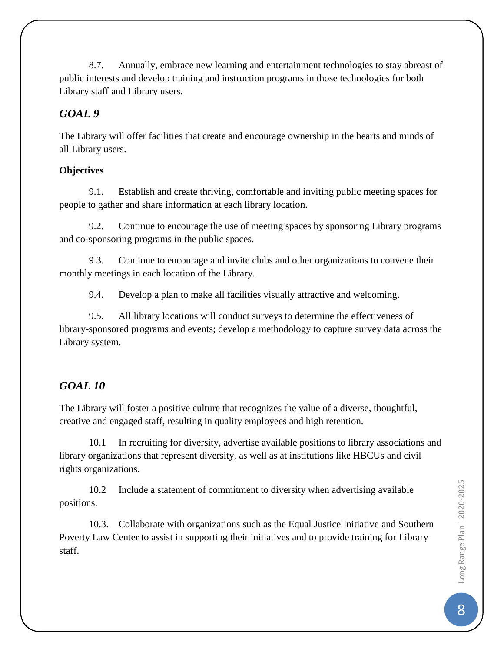8.7. Annually, embrace new learning and entertainment technologies to stay abreast of public interests and develop training and instruction programs in those technologies for both Library staff and Library users.

### *GOAL 9*

The Library will offer facilities that create and encourage ownership in the hearts and minds of all Library users.

### **Objectives**

9.1. Establish and create thriving, comfortable and inviting public meeting spaces for people to gather and share information at each library location.

9.2. Continue to encourage the use of meeting spaces by sponsoring Library programs and co-sponsoring programs in the public spaces.

9.3. Continue to encourage and invite clubs and other organizations to convene their monthly meetings in each location of the Library.

9.4. Develop a plan to make all facilities visually attractive and welcoming.

9.5. All library locations will conduct surveys to determine the effectiveness of library-sponsored programs and events; develop a methodology to capture survey data across the Library system.

# *GOAL 10*

The Library will foster a positive culture that recognizes the value of a diverse, thoughtful, creative and engaged staff, resulting in quality employees and high retention.

10.1 In recruiting for diversity, advertise available positions to library associations and library organizations that represent diversity, as well as at institutions like HBCUs and civil rights organizations.

10.2 Include a statement of commitment to diversity when advertising available positions.

10.3. Collaborate with organizations such as the Equal Justice Initiative and Southern Poverty Law Center to assist in supporting their initiatives and to provide training for Library staff.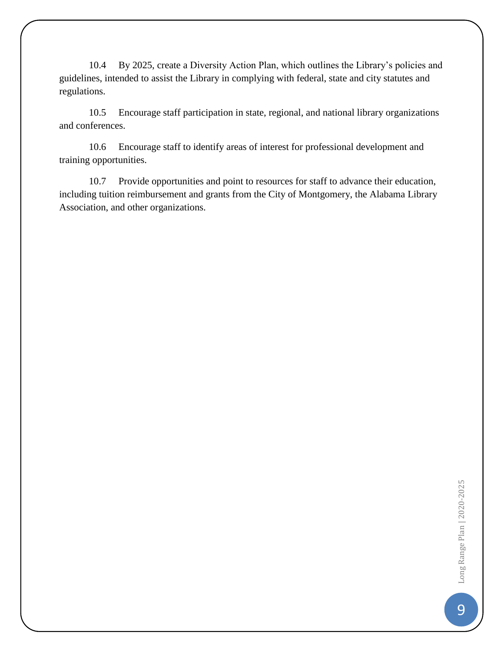10.4 By 2025, create a Diversity Action Plan, which outlines the Library's policies and guidelines, intended to assist the Library in complying with federal, state and city statutes and regulations.

10.5 Encourage staff participation in state, regional, and national library organizations and conferences.

10.6 Encourage staff to identify areas of interest for professional development and training opportunities.

10.7 Provide opportunities and point to resources for staff to advance their education, including tuition reimbursement and grants from the City of Montgomery, the Alabama Library Association, and other organizations.